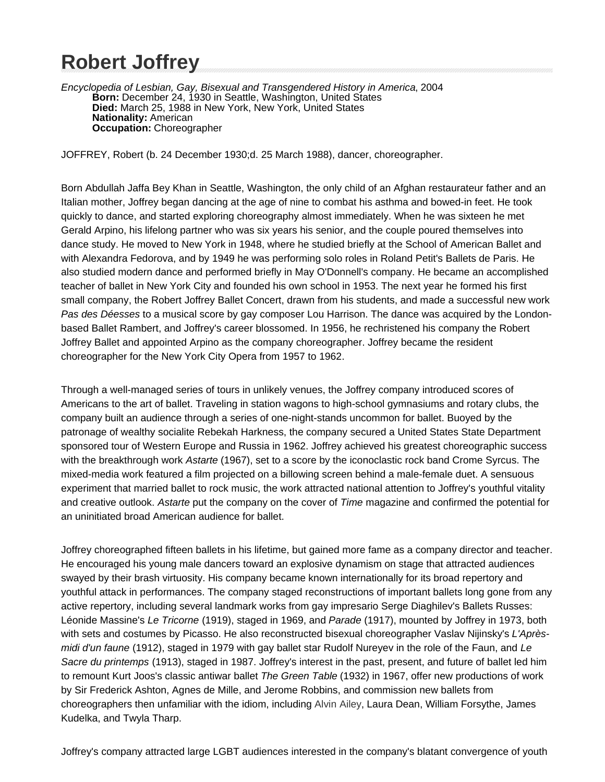# **Robert Joffrey**

Encyclopedia of Lesbian, Gay, Bisexual and Transgendered History in America, 2004 **Born:** December 24, 1930 in Seattle, Washington, United States **Died:** March 25, 1988 in New York, New York, United States **Nationality:** American **Occupation:** Choreographer

JOFFREY, Robert (b. 24 December 1930;d. 25 March 1988), dancer, choreographer.

Born Abdullah Jaffa Bey Khan in Seattle, Washington, the only child of an Afghan restaurateur father and an Italian mother, Joffrey began dancing at the age of nine to combat his asthma and bowed-in feet. He took quickly to dance, and started exploring choreography almost immediately. When he was sixteen he met Gerald Arpino, his lifelong partner who was six years his senior, and the couple poured themselves into dance study. He moved to New York in 1948, where he studied briefly at the School of American Ballet and with Alexandra Fedorova, and by 1949 he was performing solo roles in Roland Petit's Ballets de Paris. He also studied modern dance and performed briefly in May O'Donnell's company. He became an accomplished teacher of ballet in New York City and founded his own school in 1953. The next year he formed his first small company, the Robert Joffrey Ballet Concert, drawn from his students, and made a successful new work Pas des Déesses to a musical score by gay composer Lou Harrison. The dance was acquired by the Londonbased Ballet Rambert, and Joffrey's career blossomed. In 1956, he rechristened his company the Robert Joffrey Ballet and appointed Arpino as the company choreographer. Joffrey became the resident choreographer for the New York City Opera from 1957 to 1962.

Through a well-managed series of tours in unlikely venues, the Joffrey company introduced scores of Americans to the art of ballet. Traveling in station wagons to high-school gymnasiums and rotary clubs, the company built an audience through a series of one-night-stands uncommon for ballet. Buoyed by the patronage of wealthy socialite Rebekah Harkness, the company secured a United States State Department sponsored tour of Western Europe and Russia in 1962. Joffrey achieved his greatest choreographic success with the breakthrough work Astarte (1967), set to a score by the iconoclastic rock band Crome Syrcus. The mixed-media work featured a film projected on a billowing screen behind a male-female duet. A sensuous experiment that married ballet to rock music, the work attracted national attention to Joffrey's youthful vitality and creative outlook. Astarte put the company on the cover of Time magazine and confirmed the potential for an uninitiated broad American audience for ballet.

Joffrey choreographed fifteen ballets in his lifetime, but gained more fame as a company director and teacher. He encouraged his young male dancers toward an explosive dynamism on stage that attracted audiences swayed by their brash virtuosity. His company became known internationally for its broad repertory and youthful attack in performances. The company staged reconstructions of important ballets long gone from any active repertory, including several landmark works from gay impresario Serge Diaghilev's Ballets Russes: Léonide Massine's Le Tricorne (1919), staged in 1969, and Parade (1917), mounted by Joffrey in 1973, both with sets and costumes by Picasso. He also reconstructed bisexual choreographer Vaslav Nijinsky's L'Aprèsmidi d'un faune (1912), staged in 1979 with gay ballet star Rudolf Nureyev in the role of the Faun, and Le Sacre du printemps (1913), staged in 1987. Joffrey's interest in the past, present, and future of ballet led him to remount Kurt Joos's classic antiwar ballet The Green Table (1932) in 1967, offer new productions of work by Sir Frederick Ashton, Agnes de Mille, and Jerome Robbins, and commission new ballets from choreographers then unfamiliar with the idiom, including Alvin Ailey, Laura Dean, William Forsythe, James Kudelka, and Twyla Tharp.